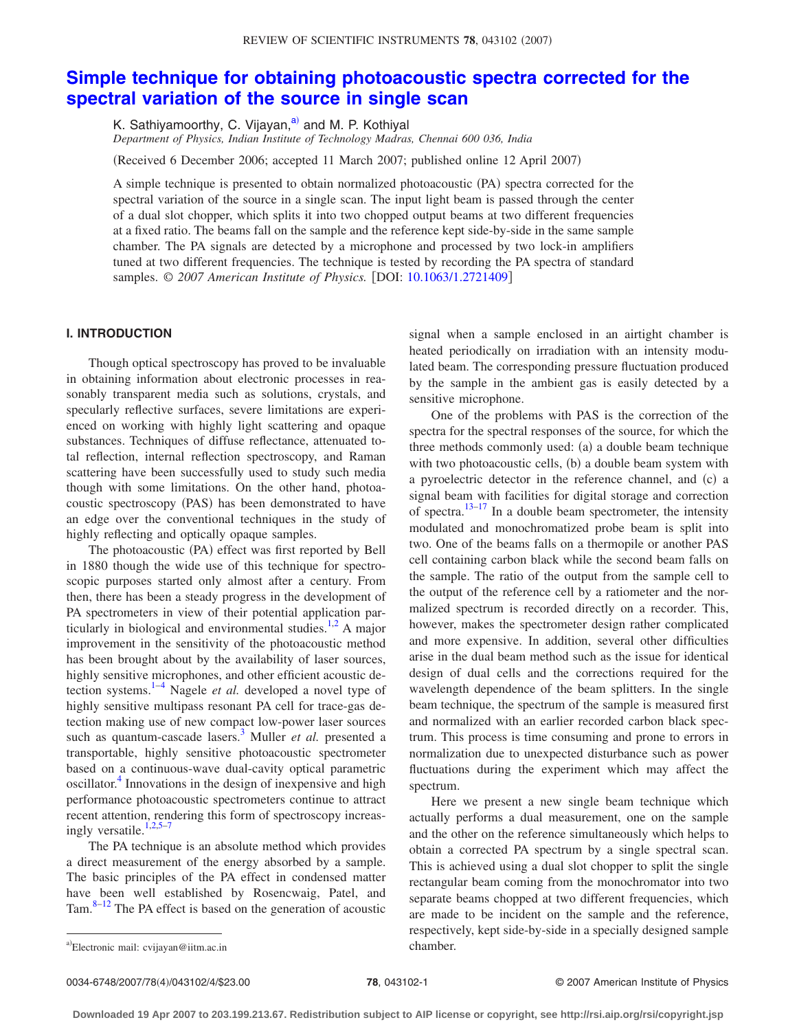# **[Simple technique for obtaining photoacoustic spectra corrected for the](http://dx.doi.org/10.1063/1.2721409) [spectral variation of the source in single scan](http://dx.doi.org/10.1063/1.2721409)**

K. Sathiyamoorthy, C. Vijayan,<sup>a)</sup> and M. P. Kothiyal *Department of Physics, Indian Institute of Technology Madras, Chennai 600 036, India*

Received 6 December 2006; accepted 11 March 2007; published online 12 April 2007-

A simple technique is presented to obtain normalized photoacoustic (PA) spectra corrected for the spectral variation of the source in a single scan. The input light beam is passed through the center of a dual slot chopper, which splits it into two chopped output beams at two different frequencies at a fixed ratio. The beams fall on the sample and the reference kept side-by-side in the same sample chamber. The PA signals are detected by a microphone and processed by two lock-in amplifiers tuned at two different frequencies. The technique is tested by recording the PA spectra of standard samples. © 2007 American Institute of Physics. [DOI: [10.1063/1.2721409](http://dx.doi.org/10.1063/1.2721409)]

## **I. INTRODUCTION**

Though optical spectroscopy has proved to be invaluable in obtaining information about electronic processes in reasonably transparent media such as solutions, crystals, and specularly reflective surfaces, severe limitations are experienced on working with highly light scattering and opaque substances. Techniques of diffuse reflectance, attenuated total reflection, internal reflection spectroscopy, and Raman scattering have been successfully used to study such media though with some limitations. On the other hand, photoacoustic spectroscopy (PAS) has been demonstrated to have an edge over the conventional techniques in the study of highly reflecting and optically opaque samples.

The photoacoustic (PA) effect was first reported by Bell in 1880 though the wide use of this technique for spectroscopic purposes started only almost after a century. From then, there has been a steady progress in the development of PA spectrometers in view of their potential application particularly in biological and environmental studies. $1,2$  $1,2$  A major improvement in the sensitivity of the photoacoustic method has been brought about by the availability of laser sources, highly sensitive microphones, and other efficient acoustic detection systems[.1–](#page-3-0)[4](#page-3-2) Nagele *et al.* developed a novel type of highly sensitive multipass resonant PA cell for trace-gas detection making use of new compact low-power laser sources such as quantum-cascade lasers.<sup>3</sup> Muller *et al.* presented a transportable, highly sensitive photoacoustic spectrometer based on a continuous-wave dual-cavity optical parametric oscillator.<sup>4</sup> Innovations in the design of inexpensive and high performance photoacoustic spectrometers continue to attract recent attention, rendering this form of spectroscopy increasingly versatile. $1,2,5-7$  $1,2,5-7$  $1,2,5-7$  $1,2,5-7$ 

The PA technique is an absolute method which provides a direct measurement of the energy absorbed by a sample. The basic principles of the PA effect in condensed matter have been well established by Rosencwaig, Patel, and Tam. $8-12$  The PA effect is based on the generation of acoustic signal when a sample enclosed in an airtight chamber is heated periodically on irradiation with an intensity modulated beam. The corresponding pressure fluctuation produced by the sample in the ambient gas is easily detected by a sensitive microphone.

One of the problems with PAS is the correction of the spectra for the spectral responses of the source, for which the three methods commonly used: (a) a double beam technique with two photoacoustic cells, (b) a double beam system with a pyroelectric detector in the reference channel, and (c) a signal beam with facilities for digital storage and correction of spectra.<sup>13[–17](#page-3-9)</sup> In a double beam spectrometer, the intensity modulated and monochromatized probe beam is split into two. One of the beams falls on a thermopile or another PAS cell containing carbon black while the second beam falls on the sample. The ratio of the output from the sample cell to the output of the reference cell by a ratiometer and the normalized spectrum is recorded directly on a recorder. This, however, makes the spectrometer design rather complicated and more expensive. In addition, several other difficulties arise in the dual beam method such as the issue for identical design of dual cells and the corrections required for the wavelength dependence of the beam splitters. In the single beam technique, the spectrum of the sample is measured first and normalized with an earlier recorded carbon black spectrum. This process is time consuming and prone to errors in normalization due to unexpected disturbance such as power fluctuations during the experiment which may affect the spectrum.

Here we present a new single beam technique which actually performs a dual measurement, one on the sample and the other on the reference simultaneously which helps to obtain a corrected PA spectrum by a single spectral scan. This is achieved using a dual slot chopper to split the single rectangular beam coming from the monochromator into two separate beams chopped at two different frequencies, which are made to be incident on the sample and the reference, respectively, kept side-by-side in a specially designed sample

<span id="page-0-0"></span>a)Electronic mail: cvijayan@iitm.ac.in chamber.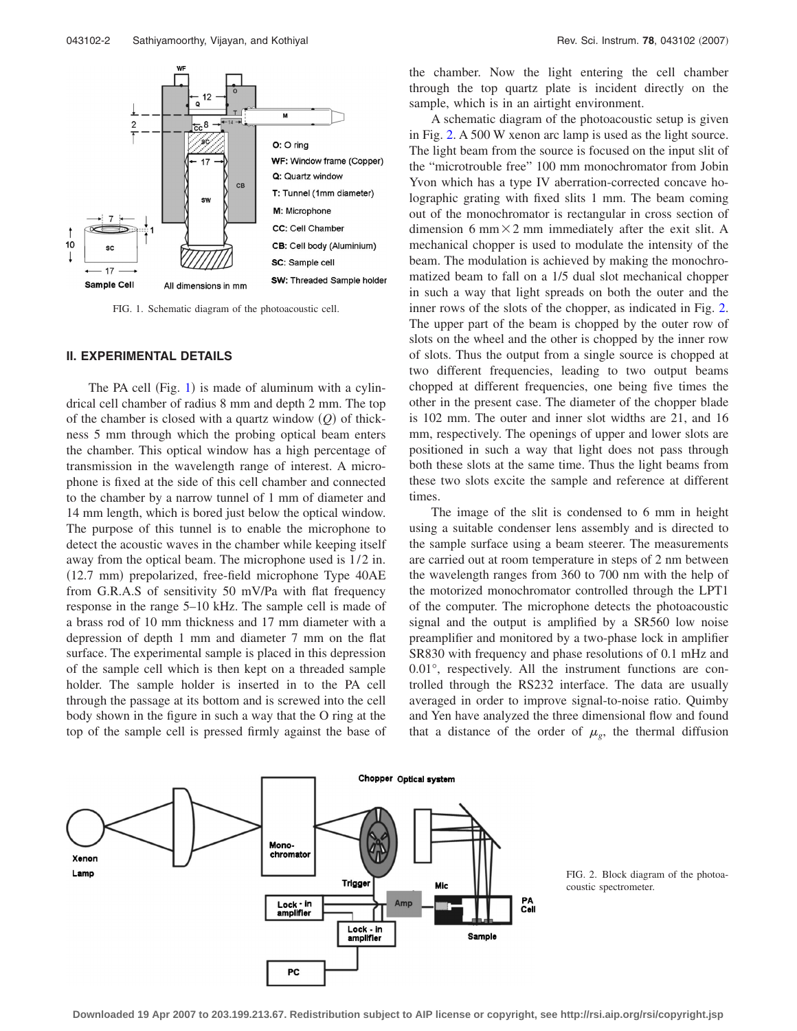<span id="page-1-0"></span>

FIG. 1. Schematic diagram of the photoacoustic cell.

### **II. EXPERIMENTAL DETAILS**

The PA cell (Fig.  $1$ ) is made of aluminum with a cylindrical cell chamber of radius 8 mm and depth 2 mm. The top of the chamber is closed with a quartz window  $(Q)$  of thickness 5 mm through which the probing optical beam enters the chamber. This optical window has a high percentage of transmission in the wavelength range of interest. A microphone is fixed at the side of this cell chamber and connected to the chamber by a narrow tunnel of 1 mm of diameter and 14 mm length, which is bored just below the optical window. The purpose of this tunnel is to enable the microphone to detect the acoustic waves in the chamber while keeping itself away from the optical beam. The microphone used is  $1/2$  in. (12.7 mm) prepolarized, free-field microphone Type 40AE from G.R.A.S of sensitivity 50 mV/Pa with flat frequency response in the range 5–10 kHz. The sample cell is made of a brass rod of 10 mm thickness and 17 mm diameter with a depression of depth 1 mm and diameter 7 mm on the flat surface. The experimental sample is placed in this depression of the sample cell which is then kept on a threaded sample holder. The sample holder is inserted in to the PA cell through the passage at its bottom and is screwed into the cell body shown in the figure in such a way that the O ring at the top of the sample cell is pressed firmly against the base of the chamber. Now the light entering the cell chamber through the top quartz plate is incident directly on the sample, which is in an airtight environment.

A schematic diagram of the photoacoustic setup is given in Fig. [2.](#page-1-1) A 500 W xenon arc lamp is used as the light source. The light beam from the source is focused on the input slit of the "microtrouble free" 100 mm monochromator from Jobin Yvon which has a type IV aberration-corrected concave holographic grating with fixed slits 1 mm. The beam coming out of the monochromator is rectangular in cross section of dimension 6 mm $\times$ 2 mm immediately after the exit slit. A mechanical chopper is used to modulate the intensity of the beam. The modulation is achieved by making the monochromatized beam to fall on a 1/5 dual slot mechanical chopper in such a way that light spreads on both the outer and the inner rows of the slots of the chopper, as indicated in Fig. [2.](#page-1-1) The upper part of the beam is chopped by the outer row of slots on the wheel and the other is chopped by the inner row of slots. Thus the output from a single source is chopped at two different frequencies, leading to two output beams chopped at different frequencies, one being five times the other in the present case. The diameter of the chopper blade is 102 mm. The outer and inner slot widths are 21, and 16 mm, respectively. The openings of upper and lower slots are positioned in such a way that light does not pass through both these slots at the same time. Thus the light beams from these two slots excite the sample and reference at different times.

The image of the slit is condensed to 6 mm in height using a suitable condenser lens assembly and is directed to the sample surface using a beam steerer. The measurements are carried out at room temperature in steps of 2 nm between the wavelength ranges from 360 to 700 nm with the help of the motorized monochromator controlled through the LPT1 of the computer. The microphone detects the photoacoustic signal and the output is amplified by a SR560 low noise preamplifier and monitored by a two-phase lock in amplifier SR830 with frequency and phase resolutions of 0.1 mHz and 0.01°, respectively. All the instrument functions are controlled through the RS232 interface. The data are usually averaged in order to improve signal-to-noise ratio. Quimby and Yen have analyzed the three dimensional flow and found that a distance of the order of  $\mu_g$ , the thermal diffusion

<span id="page-1-1"></span>

FIG. 2. Block diagram of the photoacoustic spectrometer.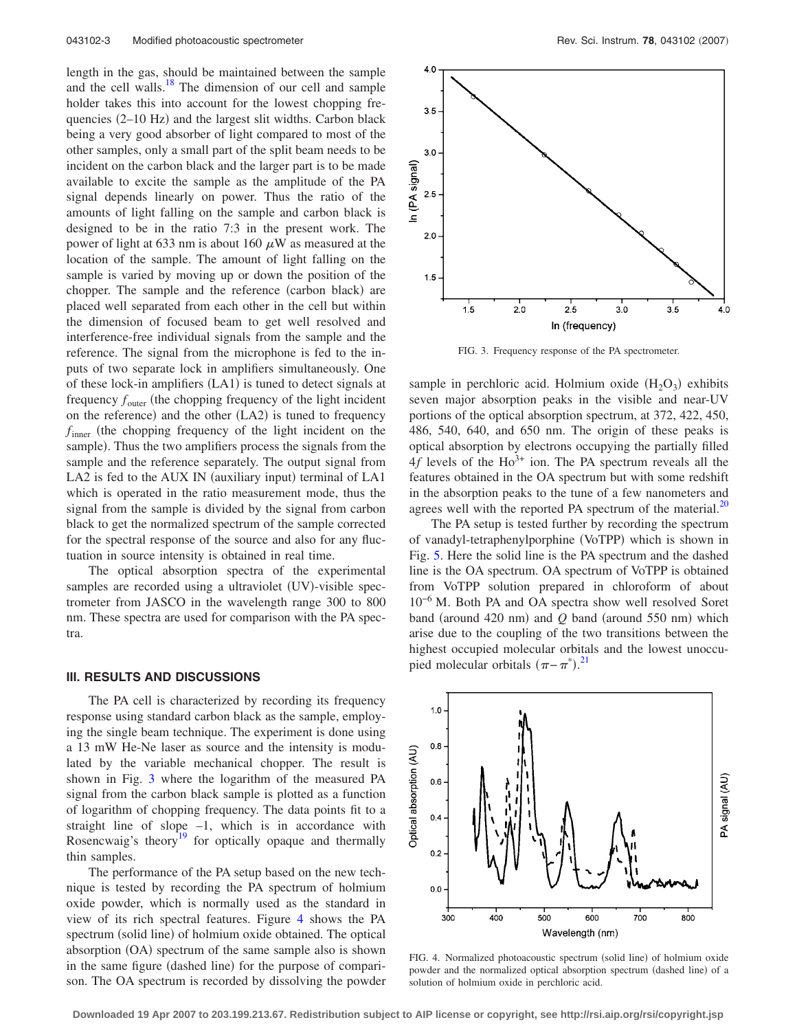length in the gas, should be maintained between the sample and the cell walls. $18$  The dimension of our cell and sample holder takes this into account for the lowest chopping frequencies (2-10 Hz) and the largest slit widths. Carbon black being a very good absorber of light compared to most of the other samples, only a small part of the split beam needs to be incident on the carbon black and the larger part is to be made available to excite the sample as the amplitude of the PA signal depends linearly on power. Thus the ratio of the amounts of light falling on the sample and carbon black is designed to be in the ratio 7:3 in the present work. The power of light at 633 nm is about 160  $\mu$ W as measured at the location of the sample. The amount of light falling on the sample is varied by moving up or down the position of the chopper. The sample and the reference (carbon black) are placed well separated from each other in the cell but within the dimension of focused beam to get well resolved and interference-free individual signals from the sample and the reference. The signal from the microphone is fed to the inputs of two separate lock in amplifiers simultaneously. One of these lock-in amplifiers (LA1) is tuned to detect signals at frequency  $f_{\text{outer}}$  (the chopping frequency of the light incident on the reference) and the other (LA2) is tuned to frequency  $f_{inner}$  (the chopping frequency of the light incident on the sample). Thus the two amplifiers process the signals from the sample and the reference separately. The output signal from LA2 is fed to the AUX IN (auxiliary input) terminal of LA1 which is operated in the ratio measurement mode, thus the signal from the sample is divided by the signal from carbon black to get the normalized spectrum of the sample corrected for the spectral response of the source and also for any fluctuation in source intensity is obtained in real time.

The optical absorption spectra of the experimental samples are recorded using a ultraviolet (UV)-visible spectrometer from JASCO in the wavelength range 300 to 800 nm. These spectra are used for comparison with the PA spectra.

#### **III. RESULTS AND DISCUSSIONS**

The PA cell is characterized by recording its frequency response using standard carbon black as the sample, employing the single beam technique. The experiment is done using a 13 mW He-Ne laser as source and the intensity is modulated by the variable mechanical chopper. The result is shown in Fig. [3](#page-2-0) where the logarithm of the measured PA signal from the carbon black sample is plotted as a function of logarithm of chopping frequency. The data points fit to a straight line of slope  $-1$ , which is in accordance with Rosencwaig's theory<sup>19</sup> for optically opaque and thermally thin samples.

The performance of the PA setup based on the new technique is tested by recording the PA spectrum of holmium oxide powder, which is normally used as the standard in view of its rich spectral features. Figure [4](#page-2-1) shows the PA spectrum (solid line) of holmium oxide obtained. The optical absorption (OA) spectrum of the same sample also is shown in the same figure (dashed line) for the purpose of comparison. The OA spectrum is recorded by dissolving the powder

<span id="page-2-0"></span>

FIG. 3. Frequency response of the PA spectrometer.

sample in perchloric acid. Holmium oxide  $(H_2O_3)$  exhibits seven major absorption peaks in the visible and near-UV portions of the optical absorption spectrum, at 372, 422, 450, 486, 540, 640, and 650 nm. The origin of these peaks is optical absorption by electrons occupying the partially filled  $4f$  levels of the Ho<sup>3+</sup> ion. The PA spectrum reveals all the features obtained in the OA spectrum but with some redshift in the absorption peaks to the tune of a few nanometers and agrees well with the reported PA spectrum of the material. $^{20}$ 

The PA setup is tested further by recording the spectrum of vanadyl-tetraphenylporphine (VoTPP) which is shown in Fig. [5.](#page-3-13) Here the solid line is the PA spectrum and the dashed line is the OA spectrum. OA spectrum of VoTPP is obtained from VoTPP solution prepared in chloroform of about 10−6 M. Both PA and OA spectra show well resolved Soret band (around  $420$  nm) and  $Q$  band (around  $550$  nm) which arise due to the coupling of the two transitions between the highest occupied molecular orbitals and the lowest unoccupied molecular orbitals  $(\pi - \pi^*)$ .<sup>[21](#page-3-14)</sup>

<span id="page-2-1"></span>

FIG. 4. Normalized photoacoustic spectrum (solid line) of holmium oxide powder and the normalized optical absorption spectrum (dashed line) of a solution of holmium oxide in perchloric acid.

**Downloaded 19 Apr 2007 to 203.199.213.67. Redistribution subject to AIP license or copyright, see http://rsi.aip.org/rsi/copyright.jsp**